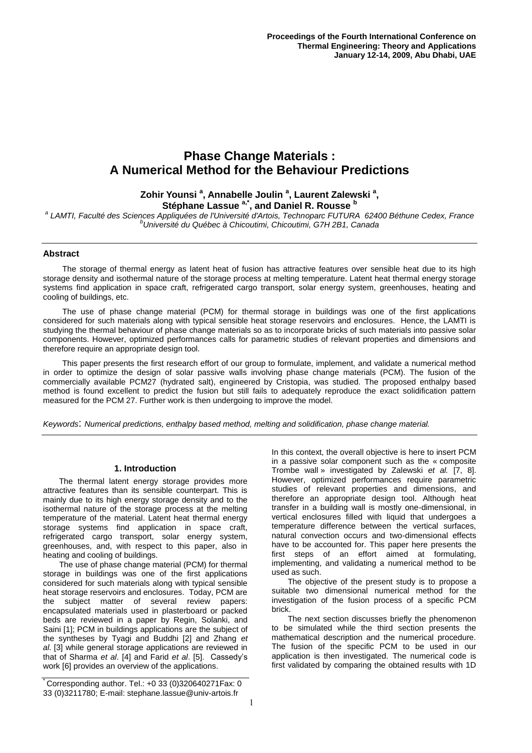# **Phase Change Materials : A Numerical Method for the Behaviour Predictions**

# **Zohir Younsi <sup>a</sup> , Annabelle Joulin <sup>a</sup> , Laurent Zalewski <sup>a</sup> , Stéphane Lassue a,\*, and Daniel R. Rousse <sup>b</sup>**

*a LAMTI, Faculté des Sciences Appliquées de l'Université d'Artois, Technoparc FUTURA 62400 Béthune Cedex, France <sup>b</sup>Université du Québec à Chicoutimi, Chicoutimi, G7H 2B1, Canada*

# **Abstract**

The storage of thermal energy as latent heat of fusion has attractive features over sensible heat due to its high storage density and isothermal nature of the storage process at melting temperature. Latent heat thermal energy storage systems find application in space craft, refrigerated cargo transport, solar energy system, greenhouses, heating and cooling of buildings, etc.

The use of phase change material (PCM) for thermal storage in buildings was one of the first applications considered for such materials along with typical sensible heat storage reservoirs and enclosures. Hence, the LAMTI is studying the thermal behaviour of phase change materials so as to incorporate bricks of such materials into passive solar components. However, optimized performances calls for parametric studies of relevant properties and dimensions and therefore require an appropriate design tool.

This paper presents the first research effort of our group to formulate, implement, and validate a numerical method in order to optimize the design of solar passive walls involving phase change materials (PCM). The fusion of the commercially available PCM27 (hydrated salt), engineered by Cristopia, was studied. The proposed enthalpy based method is found excellent to predict the fusion but still fails to adequately reproduce the exact solidification pattern measured for the PCM 27. Further work is then undergoing to improve the model.

*Keywords*: *Numerical predictions, enthalpy based method, melting and solidification, phase change material.*

# **1. Introduction**

The thermal latent energy storage provides more attractive features than its sensible counterpart. This is mainly due to its high energy storage density and to the isothermal nature of the storage process at the melting temperature of the material. Latent heat thermal energy storage systems find application in space craft, refrigerated cargo transport, solar energy system, greenhouses, and, with respect to this paper, also in heating and cooling of buildings.

The use of phase change material (PCM) for thermal storage in buildings was one of the first applications considered for such materials along with typical sensible heat storage reservoirs and enclosures. Today, PCM are the subject matter of several review papers: encapsulated materials used in plasterboard or packed beds are reviewed in a paper by Regin, Solanki, and Saini [1]; PCM in buildings applications are the subject of the syntheses by Tyagi and Buddhi [2] and Zhang *et al.* [3] while general storage applications are reviewed in that of Sharma *et al*. [4] and Farid *et al*. [5]. Cassedy's work [6] provides an overview of the applications.

\* Corresponding author. Tel.: +0 33 (0)320640271Fax: 0 33 (0)3211780; E-mail: stephane.lassue@univ-artois.fr

In this context, the overall objective is here to insert PCM in a passive solar component such as the « composite Trombe wall » investigated by Zalewski *et al.* [7, 8]. However, optimized performances require parametric studies of relevant properties and dimensions, and therefore an appropriate design tool. Although heat transfer in a building wall is mostly one-dimensional, in vertical enclosures filled with liquid that undergoes a temperature difference between the vertical surfaces, natural convection occurs and two-dimensional effects have to be accounted for. This paper here presents the first steps of an effort aimed at formulating, implementing, and validating a numerical method to be used as such.

The objective of the present study is to propose a suitable two dimensional numerical method for the investigation of the fusion process of a specific PCM brick.

The next section discusses briefly the phenomenon to be simulated while the third section presents the mathematical description and the numerical procedure. The fusion of the specific PCM to be used in our application is then investigated. The numerical code is first validated by comparing the obtained results with 1D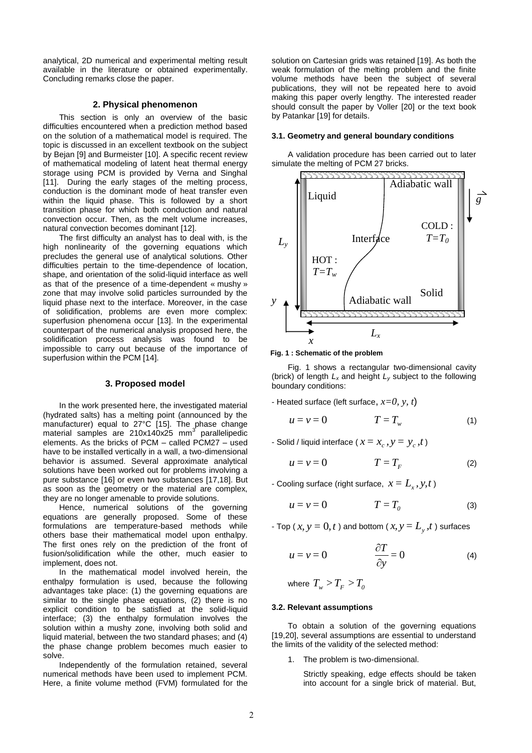analytical, 2D numerical and experimental melting result available in the literature or obtained experimentally. Concluding remarks close the paper.

### **2. Physical phenomenon**

This section is only an overview of the basic difficulties encountered when a prediction method based on the solution of a mathematical model is required. The topic is discussed in an excellent textbook on the subject by Bejan [9] and Burmeister [10]. A specific recent review of mathematical modeling of latent heat thermal energy storage using PCM is provided by Verna and Singhal [11]. During the early stages of the melting process, conduction is the dominant mode of heat transfer even within the liquid phase. This is followed by a short transition phase for which both conduction and natural convection occur. Then, as the melt volume increases, natural convection becomes dominant [12].

The first difficulty an analyst has to deal with, is the high nonlinearity of the governing equations which precludes the general use of analytical solutions. Other difficulties pertain to the time-dependence of location, shape, and orientation of the solid-liquid interface as well as that of the presence of a time-dependent « mushy » zone that may involve solid particles surrounded by the liquid phase next to the interface. Moreover, in the case of solidification, problems are even more complex: superfusion phenomena occur [13]. In the experimental counterpart of the numerical analysis proposed here, the solidification process analysis was found to be impossible to carry out because of the importance of superfusion within the PCM [14].

#### **3. Proposed model**

In the work presented here, the investigated material (hydrated salts) has a melting point (announced by the manufacturer) equal to 27°C [15]. The phase change material samples are 210x140x25 mm<sup>3</sup> parallelipedic elements. As the bricks of PCM – called PCM27 – used have to be installed vertically in a wall, a two-dimensional behavior is assumed. Several approximate analytical solutions have been worked out for problems involving a pure substance [16] or even two substances [17,18]. But as soon as the geometry or the material are complex, they are no longer amenable to provide solutions.

Hence, numerical solutions of the governing equations are generally proposed. Some of these formulations are temperature-based methods while others base their mathematical model upon enthalpy. The first ones rely on the prediction of the front of fusion/solidification while the other, much easier to implement, does not.

In the mathematical model involved herein, the enthalpy formulation is used, because the following advantages take place: (1) the governing equations are similar to the single phase equations, (2) there is no explicit condition to be satisfied at the solid-liquid interface; (3) the enthalpy formulation involves the solution within a mushy zone, involving both solid and liquid material, between the two standard phases; and (4) the phase change problem becomes much easier to solve.

Independently of the formulation retained, several numerical methods have been used to implement PCM. Here, a finite volume method (FVM) formulated for the solution on Cartesian grids was retained [19]. As both the weak formulation of the melting problem and the finite volume methods have been the subject of several publications, they will not be repeated here to avoid making this paper overly lengthy. The interested reader should consult the paper by Voller [20] or the text book by Patankar [19] for details.

#### **3.1. Geometry and general boundary conditions**

A validation procedure has been carried out to later simulate the melting of PCM 27 bricks.



**Fig. 1 : Schematic of the problem**

Fig. 1 shows a rectangular two-dimensional cavity (brick) of length *L<sup>x</sup>* and height *L<sup>y</sup>* subject to the following boundary conditions:

- Heated surface (left surface, *x=0, y, t*)

$$
u = v = 0 \qquad T = T_w \tag{1}
$$

- Solid / liquid interface ( $x = x_c$ ,  $y = y_c$ , *t*)

$$
u = v = 0 \qquad T = T_F \qquad (2)
$$

- Cooling surface (right surface,  $x = L_x$ ,  $y, t$ )

$$
u = v = 0 \qquad T = T_o \tag{3}
$$

- Top (  $x, y = 0, t$  ) and bottom (  $x, y = L_y, t$  ) surfaces

$$
u = v = 0 \qquad \qquad \frac{\partial T}{\partial y} = 0 \tag{4}
$$

where  $T_w > T_F > T_0$ 

#### **3.2. Relevant assumptions**

To obtain a solution of the governing equations [19,20], several assumptions are essential to understand the limits of the validity of the selected method:

1. The problem is two-dimensional.

Strictly speaking, edge effects should be taken into account for a single brick of material. But,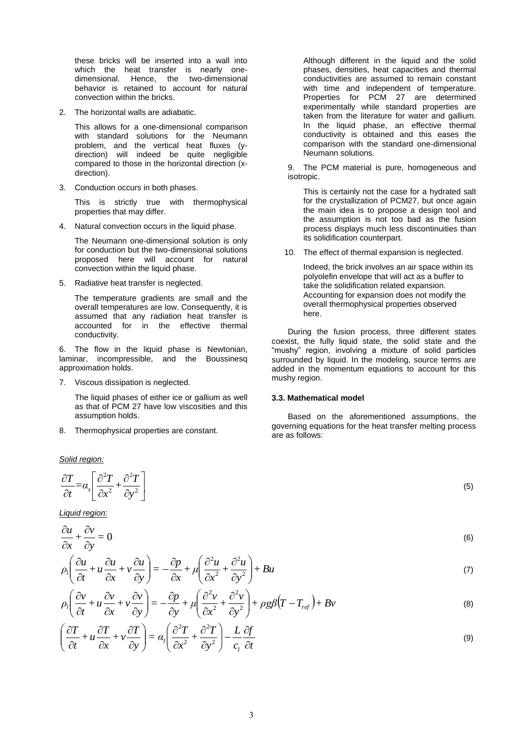these bricks will be inserted into a wall into which the heat transfer is nearly onedimensional. Hence, the two-dimensional behavior is retained to account for natural convection within the bricks.

2. The horizontal walls are adiabatic.

This allows for a one-dimensional comparison with standard solutions for the Neumann problem, and the vertical heat fluxes (ydirection) will indeed be quite negligible compared to those in the horizontal direction (xdirection).

3. Conduction occurs in both phases.

This is strictly true with thermophysical properties that may differ.

4. Natural convection occurs in the liquid phase.

The Neumann one-dimensional solution is only for conduction but the two-dimensional solutions proposed here will account for natural convection within the liquid phase.

5. Radiative heat transfer is neglected.

The temperature gradients are small and the overall temperatures are low. Consequently, it is assumed that any radiation heat transfer is accounted for in the effective thermal conductivity.

6. The flow in the liquid phase is Newtonian, laminar, incompressible, and the Boussinesq approximation holds.

7. Viscous dissipation is neglected.

The liquid phases of either ice or gallium as well as that of PCM 27 have low viscosities and this assumption holds.

8. Thermophysical properties are constant.

*Solid region:*

$$
\frac{\partial T}{\partial t} = \alpha_s \left[ \frac{\partial^2 T}{\partial x^2} + \frac{\partial^2 T}{\partial y^2} \right]
$$

*Liquid region:*

$$
\frac{\partial u}{\partial x} + \frac{\partial v}{\partial y} = 0 \tag{6}
$$

$$
\rho_l \left( \frac{\partial u}{\partial t} + u \frac{\partial u}{\partial x} + v \frac{\partial u}{\partial y} \right) = -\frac{\partial p}{\partial x} + \mu \left( \frac{\partial^2 u}{\partial x^2} + \frac{\partial^2 u}{\partial y^2} \right) + Bu \tag{7}
$$

$$
\rho_l \left( \frac{\partial v}{\partial t} + u \frac{\partial v}{\partial x} + v \frac{\partial v}{\partial y} \right) = -\frac{\partial p}{\partial y} + \mu \left( \frac{\partial^2 v}{\partial x^2} + \frac{\partial^2 v}{\partial y^2} \right) + \rho g \beta \left( T - T_{ref} \right) + Bv \tag{8}
$$

$$
\left(\frac{\partial T}{\partial t} + u\frac{\partial T}{\partial x} + v\frac{\partial T}{\partial y}\right) = \alpha_l \left(\frac{\partial^2 T}{\partial x^2} + \frac{\partial^2 T}{\partial y^2}\right) - \frac{L}{c_l}\frac{\partial f}{\partial t}
$$
\n(9)

Although different in the liquid and the solid phases, densities, heat capacities and thermal conductivities are assumed to remain constant with time and independent of temperature. Properties for PCM 27 are determined experimentally while standard properties are taken from the literature for water and gallium. In the liquid phase, an effective thermal conductivity is obtained and this eases the comparison with the standard one-dimensional Neumann solutions.

9. The PCM material is pure, homogeneous and isotropic.

This is certainly not the case for a hydrated salt for the crystallization of PCM27, but once again the main idea is to propose a design tool and the assumption is not too bad as the fusion process displays much less discontinuities than its solidification counterpart.

10. The effect of thermal expansion is neglected.

Indeed, the brick involves an air space within its polyolefin envelope that will act as a buffer to take the solidification related expansion. Accounting for expansion does not modify the overall thermophysical properties observed here.

During the fusion process, three different states coexist, the fully liquid state, the solid state and the "mushy" region, involving a mixture of solid particles surrounded by liquid. In the modeling, source terms are added in the momentum equations to account for this mushy region.

# **3.3. Mathematical model**

Based on the aforementioned assumptions, the governing equations for the heat transfer melting process are as follows:

(5)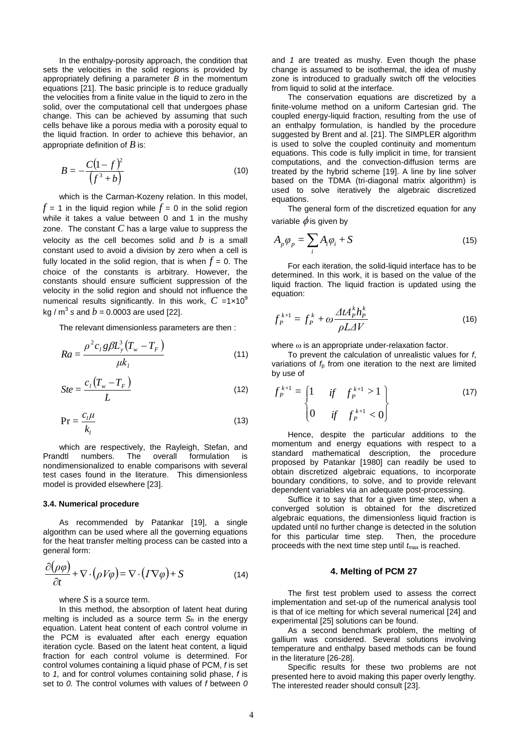In the enthalpy-porosity approach, the condition that sets the velocities in the solid regions is provided by appropriately defining a parameter *B* in the momentum equations [21]. The basic principle is to reduce gradually the velocities from a finite value in the liquid to zero in the solid, over the computational cell that undergoes phase change. This can be achieved by assuming that such cells behave like a porous media with a porosity equal to the liquid fraction. In order to achieve this behavior, an appropriate definition of *B* is:

$$
B = -\frac{C(1-f)^2}{(f^3+b)}\tag{10}
$$

which is the Carman-Kozeny relation. In this model,  $f = 1$  in the liquid region while  $f = 0$  in the solid region while it takes a value between 0 and 1 in the mushy zone. The constant *C* has a large value to suppress the velocity as the cell becomes solid and *b* is a small constant used to avoid a division by zero when a cell is fully located in the solid region, that is when  $f = 0$ . The choice of the constants is arbitrary. However, the constants should ensure sufficient suppression of the velocity in the solid region and should not influence the numerical results significantly. In this work,  $C = 1 \times 10^9$ kg / m $^3$  s and  $b$  = 0.0003 are used [22].

The relevant dimensionless parameters are then :

$$
Ra = \frac{\rho^2 c_l g \beta L_y^3 (T_w - T_F)}{\mu k_l}
$$
 (11)

$$
Ste = \frac{c_l \left( T_w - T_F \right)}{L} \tag{12}
$$

$$
Pr = \frac{c_l \mu}{k_l} \tag{13}
$$

which are respectively, the Rayleigh, Stefan, and Prandtl numbers. The overall formulation is nondimensionalized to enable comparisons with several test cases found in the literature. This dimensionless model is provided elsewhere [23].

#### **3.4. Numerical procedure**

As recommended by Patankar [19], a single algorithm can be used where all the governing equations for the heat transfer melting process can be casted into a general form:

$$
\frac{\partial(\rho\varphi)}{\partial t} + \nabla \cdot (\rho V \varphi) = \nabla \cdot (I \nabla \varphi) + S \tag{14}
$$

where  $S$  is a source term.

In this method, the absorption of latent heat during melting is included as a source term *S<sup>h</sup>* in the energy equation. Latent heat content of each control volume in the PCM is evaluated after each energy equation iteration cycle. Based on the latent heat content, a liquid fraction for each control volume is determined. For control volumes containing a liquid phase of PCM, *f* is set to *1,* and for control volumes containing solid phase, *f* is set to *0.* The control volumes with values of *f* between *0* and *1* are treated as mushy. Even though the phase change is assumed to be isothermal, the idea of mushy zone is introduced to gradually switch off the velocities from liquid to solid at the interface.

The conservation equations are discretized by a finite-volume method on a uniform Cartesian grid. The coupled energy-liquid fraction, resulting from the use of an enthalpy formulation, is handled by the procedure suggested by Brent and al. [21]. The SIMPLER algorithm is used to solve the coupled continuity and momentum equations. This code is fully implicit in time, for transient computations, and the convection-diffusion terms are treated by the hybrid scheme [19]. A line by line solver based on the TDMA (tri-diagonal matrix algorithm) is used to solve iteratively the algebraic discretized equations.

The general form of the discretized equation for any variable  $\phi$  is given by

$$
A_p \varphi_p = \sum_i A_i \varphi_i + S \tag{15}
$$

For each iteration, the solid-liquid interface has to be determined. In this work, it is based on the value of the liquid fraction. The liquid fraction is updated using the equation:

$$
f_P^{k+1} = f_P^k + \omega \frac{\Delta t A_P^k h_P^k}{\rho L \Delta V}
$$
\n(16)

where  $\omega$  is an appropriate under-relaxation factor.

To prevent the calculation of unrealistic values for *f*, variations of  $f<sub>p</sub>$  from one iteration to the next are limited by use of

$$
f_P^{k+1} = \begin{cases} 1 & \text{if } f_P^{k+1} > 1 \\ 0 & \text{if } f_P^{k+1} < 0 \end{cases}
$$
 (17)

Hence, despite the particular additions to the momentum and energy equations with respect to a standard mathematical description, the procedure proposed by Patankar [1980] can readily be used to obtain discretized algebraic equations, to incorporate boundary conditions, to solve, and to provide relevant dependent variables via an adequate post-processing.

Suffice it to say that for a given time step, when a converged solution is obtained for the discretized algebraic equations, the dimensionless liquid fraction is updated until no further change is detected in the solution for this particular time step. Then, the procedure proceeds with the next time step until  $t_{\text{max}}$  is reached.

# **4. Melting of PCM 27**

The first test problem used to assess the correct implementation and set-up of the numerical analysis tool is that of ice melting for which several numerical [24] and experimental [25] solutions can be found.

As a second benchmark problem, the melting of gallium was considered. Several solutions involving temperature and enthalpy based methods can be found in the literature [26-28].

Specific results for these two problems are not presented here to avoid making this paper overly lengthy. The interested reader should consult [23].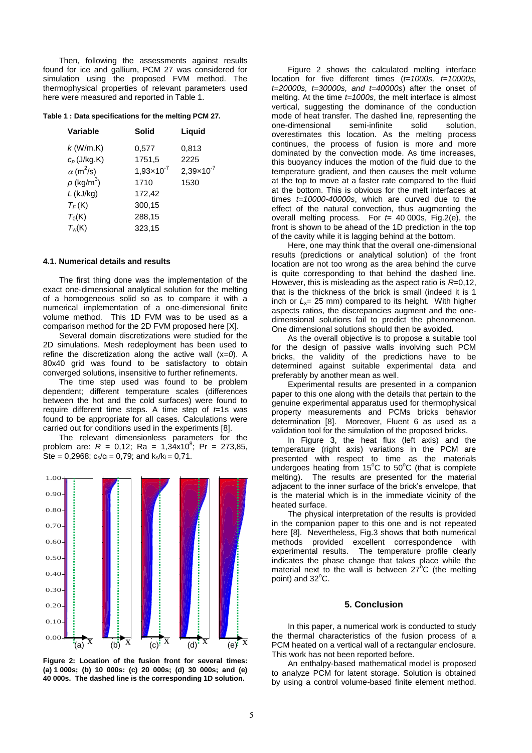Then, following the assessments against results found for ice and gallium, PCM 27 was considered for simulation using the proposed FVM method. The thermophysical properties of relevant parameters used here were measured and reported in Table 1.

**Table 1 : Data specifications for the melting PCM 27.**

| Variable                     | Solid                 | Liquid              |
|------------------------------|-----------------------|---------------------|
| $k$ (W/m.K)                  | 0,577                 | 0,813               |
| $c_p$ (J/kg.K)               | 1751,5                | 2225                |
| $\alpha$ (m <sup>2</sup> /s) | $1,93 \times 10^{-7}$ | $2,39\times10^{-7}$ |
| $\rho$ (kg/m $^3)$           | 1710                  | 1530                |
| $L$ (kJ/kg)                  | 172,42                |                     |
| $T_F(K)$                     | 300,15                |                     |
| $T_0(K)$                     | 288,15                |                     |
| $T_w(K)$                     | 323,15                |                     |
|                              |                       |                     |

# **4.1. Numerical details and results**

The first thing done was the implementation of the exact one-dimensional analytical solution for the melting of a homogeneous solid so as to compare it with a numerical implementation of a one-dimensional finite volume method. This 1D FVM was to be used as a comparison method for the 2D FVM proposed here [X].

Several domain discretizations were studied for the 2D simulations. Mesh redeployment has been used to refine the discretization along the active wall (x*=0*). A 80x40 grid was found to be satisfactory to obtain converged solutions, insensitive to further refinements.

The time step used was found to be problem dependent; different temperature scales (differences between the hot and the cold surfaces) were found to require different time steps. A time step of *t*=1s was found to be appropriate for all cases. Calculations were carried out for conditions used in the experiments [8].

The relevant dimensionless parameters for the problem are:  $R = 0.12$ ; Ra =  $1.34 \times 10^8$ ; Pr = 273,85, Ste = 0,2968;  $c_s/c_l = 0.79$ ; and  $k_s/k_l = 0.71$ .



**Figure 2: Location of the fusion front for several times: (a) 1 000s; (b) 10 000s: (c) 20 000s; (d) 30 000s; and (e) 40 000s. The dashed line is the corresponding 1D solution.**

Figure 2 shows the calculated melting interface location for five different times (*t=1000s, t=10000s, t=20000s, t=30000s, and t=40000s*) after the onset of melting. At the time *t=1000s*, the melt interface is almost vertical, suggesting the dominance of the conduction mode of heat transfer. The dashed line, representing the one-dimensional semi-infinite solid solution, overestimates this location. As the melting process continues, the process of fusion is more and more dominated by the convection mode. As time increases, this buoyancy induces the motion of the fluid due to the temperature gradient, and then causes the melt volume at the top to move at a faster rate compared to the fluid at the bottom. This is obvious for the melt interfaces at times *t=10000-40000s*, which are curved due to the effect of the natural convection, thus augmenting the overall melting process. For *t*= 40 000s, Fig.2(e), the front is shown to be ahead of the 1D prediction in the top of the cavity while it is lagging behind at the bottom.

Here, one may think that the overall one-dimensional results (predictions or analytical solution) of the front location are not too wrong as the area behind the curve is quite corresponding to that behind the dashed line. However, this is misleading as the aspect ratio is *R*=0,12, that is the thickness of the brick is small (indeed it is 1 inch or  $L_x = 25$  mm) compared to its height. With higher aspects ratios, the discrepancies augment and the onedimensional solutions fail to predict the phenomenon. One dimensional solutions should then be avoided.

As the overall objective is to propose a suitable tool for the design of passive walls involving such PCM bricks, the validity of the predictions have to be determined against suitable experimental data and preferably by another mean as well.

Experimental results are presented in a companion paper to this one along with the details that pertain to the genuine experimental apparatus used for thermophysical property measurements and PCMs bricks behavior determination [8]. Moreover, Fluent 6 as used as a validation tool for the simulation of the proposed bricks.

In Figure 3, the heat flux (left axis) and the temperature (right axis) variations in the PCM are presented with respect to time as the materials undergoes heating from  $15^{\circ}$ C to  $50^{\circ}$ C (that is complete melting). The results are presented for the material adjacent to the inner surface of the brick's envelope, that is the material which is in the immediate vicinity of the heated surface.

The physical interpretation of the results is provided in the companion paper to this one and is not repeated here [8]. Nevertheless, Fig.3 shows that both numerical methods provided excellent correspondence with experimental results. The temperature profile clearly indicates the phase change that takes place while the material next to the wall is between  $27^{\circ}$ C (the melting point) and  $32^{\circ}$ C.

# **5. Conclusion**

In this paper, a numerical work is conducted to study the thermal characteristics of the fusion process of a PCM heated on a vertical wall of a rectangular enclosure. This work has not been reported before.

An enthalpy-based mathematical model is proposed to analyze PCM for latent storage. Solution is obtained by using a control volume-based finite element method.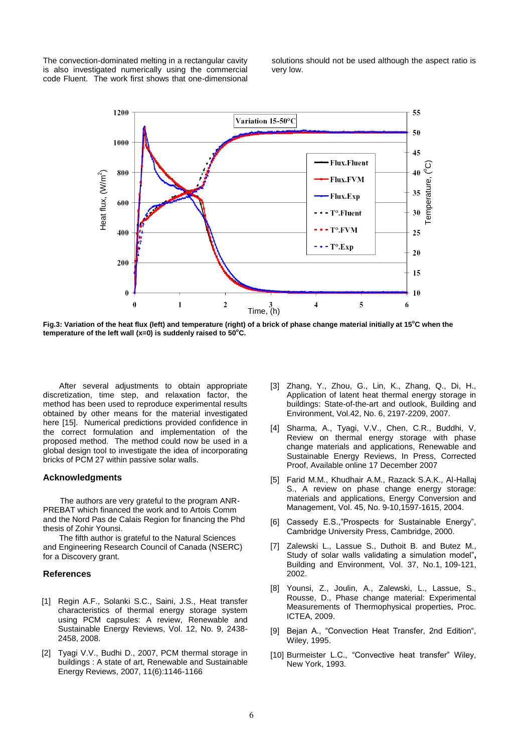The convection-dominated melting in a rectangular cavity is also investigated numerically using the commercial code Fluent. The work first shows that one-dimensional solutions should not be used although the aspect ratio is very low.



Fig.3: Variation of the heat flux (left) and temperature (right) of a brick of phase change material initially at 15<sup>°</sup>C when the **temperature of the left wall (x=0) is suddenly raised to 50<sup>o</sup>C.**

After several adjustments to obtain appropriate discretization, time step, and relaxation factor, the method has been used to reproduce experimental results obtained by other means for the material investigated here [15]. Numerical predictions provided confidence in the correct formulation and implementation of the proposed method. The method could now be used in a global design tool to investigate the idea of incorporating bricks of PCM 27 within passive solar walls.

### **Acknowledgments**

The authors are very grateful to the program ANR-PREBAT which financed the work and to Artois Comm and the Nord Pas de Calais Region for financing the Phd thesis of Zohir Younsi.

The fifth author is grateful to the Natural Sciences and Engineering Research Council of Canada (NSERC) for a Discovery grant.

# **References**

- [1] Regin A.F., Solanki S.C., Saini, J.S., [Heat transfer](http://www.sciencedirect.com/science?_ob=ArticleURL&_udi=B6VMY-4PF0R86-2&_user=7456667&_coverDate=12%2F31%2F2008&_alid=815791737&_rdoc=5&_fmt=high&_orig=search&_cdi=6163&_docanchor=&view=c&_ct=1382&_acct=C000050221&_version=1&_urlVersion=0&_userid=7456667&md5=d78c2a920b15a2ca5e83b2801a71d01c)  [characteristics of thermal energy storage system](http://www.sciencedirect.com/science?_ob=ArticleURL&_udi=B6VMY-4PF0R86-2&_user=7456667&_coverDate=12%2F31%2F2008&_alid=815791737&_rdoc=5&_fmt=high&_orig=search&_cdi=6163&_docanchor=&view=c&_ct=1382&_acct=C000050221&_version=1&_urlVersion=0&_userid=7456667&md5=d78c2a920b15a2ca5e83b2801a71d01c)  [using PCM capsules: A review,](http://www.sciencedirect.com/science?_ob=ArticleURL&_udi=B6VMY-4PF0R86-2&_user=7456667&_coverDate=12%2F31%2F2008&_alid=815791737&_rdoc=5&_fmt=high&_orig=search&_cdi=6163&_docanchor=&view=c&_ct=1382&_acct=C000050221&_version=1&_urlVersion=0&_userid=7456667&md5=d78c2a920b15a2ca5e83b2801a71d01c) Renewable and Sustainable Energy Reviews, Vol. 12, No. 9, 2438- 2458, 2008.
- [2] Tyagi V.V., Budhi D., 2007, PCM thermal storage in buildings : A state of art, Renewable and Sustainable Energy Reviews, 2007, 11(6):1146-1166
- [3] Zhang, Y., Zhou, G., Lin, K., Zhang, Q., Di, H., [Application of latent heat thermal energy storage in](http://www.sciencedirect.com/science?_ob=ArticleURL&_udi=B6V23-4M0S31V-3&_user=7456667&_coverDate=06%2F30%2F2007&_alid=815793888&_rdoc=145&_fmt=high&_orig=search&_cdi=5691&_st=13&_docanchor=&view=c&_ct=674&_version=1&_urlVersion=0&_userid=7456667&md5=a5e22786ae125652459491039b3f97b6)  [buildings: State-of-the-art and outlook,](http://www.sciencedirect.com/science?_ob=ArticleURL&_udi=B6V23-4M0S31V-3&_user=7456667&_coverDate=06%2F30%2F2007&_alid=815793888&_rdoc=145&_fmt=high&_orig=search&_cdi=5691&_st=13&_docanchor=&view=c&_ct=674&_version=1&_urlVersion=0&_userid=7456667&md5=a5e22786ae125652459491039b3f97b6) Building and Environment, Vol.42, No. 6, 2197-2209, 2007.
- [4] Sharma, A., Tyagi, V.V., Chen, C.R., Buddhi, V, Review on thermal energy storage with phase change materials and applications, Renewable and Sustainable Energy Reviews, In Press, Corrected Proof, Available online 17 December 2007
- [5] Farid M.M., Khudhair A.M., Razack S.A.K., Al-Hallaj S., [A review on phase change energy storage:](http://www.sciencedirect.com/science?_ob=ArticleURL&_udi=B6V2P-4B28S18-1&_user=7456667&_coverDate=06%2F30%2F2004&_alid=815810693&_rdoc=10&_fmt=high&_orig=search&_cdi=5708&_docanchor=&view=c&_ct=20&_acct=C000050221&_version=1&_urlVersion=0&_userid=7456667&md5=2b488620b5cb66d14c335bc8f08f0d12)  [materials and applications,](http://www.sciencedirect.com/science?_ob=ArticleURL&_udi=B6V2P-4B28S18-1&_user=7456667&_coverDate=06%2F30%2F2004&_alid=815810693&_rdoc=10&_fmt=high&_orig=search&_cdi=5708&_docanchor=&view=c&_ct=20&_acct=C000050221&_version=1&_urlVersion=0&_userid=7456667&md5=2b488620b5cb66d14c335bc8f08f0d12) Energy Conversion and Management, Vol. 45, No. 9-10,1597-1615, 2004.
- [6] Cassedy E.S.,"Prospects for Sustainable Energy", Cambridge University Press, Cambridge, 2000.
- [7] Zalewski L., Lassue S., Duthoit B. and Butez M., Study of solar walls validating a simulation model"**,**  Building and Environment, Vol. 37, No.1, 109-121, 2002.
- [8] Younsi, Z., Joulin, A., Zalewski, L., Lassue, S., Rousse, D., Phase change material: Experimental Measurements of Thermophysical properties, Proc. ICTEA, 2009.
- [9] Bejan A., "Convection Heat Transfer, 2nd Edition", Wiley, 1995.
- [10] Burmeister L.C., "Convective heat transfer" Wiley, New York, 1993.